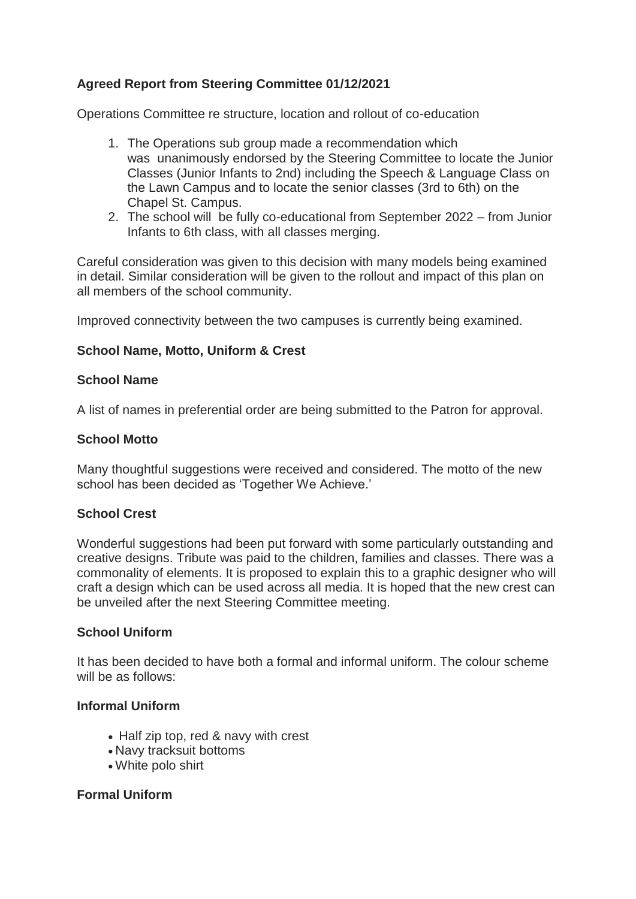# **Agreed Report from Steering Committee 01/12/2021**

Operations Committee re structure, location and rollout of co-education

- 1. The Operations sub group made a recommendation which was unanimously endorsed by the Steering Committee to locate the Junior Classes (Junior Infants to 2nd) including the Speech & Language Class on the Lawn Campus and to locate the senior classes (3rd to 6th) on the Chapel St. Campus.
- 2. The school will be fully co-educational from September 2022 from Junior Infants to 6th class, with all classes merging.

Careful consideration was given to this decision with many models being examined in detail. Similar consideration will be given to the rollout and impact of this plan on all members of the school community.

Improved connectivity between the two campuses is currently being examined.

## **School Name, Motto, Uniform & Crest**

### **School Name**

A list of names in preferential order are being submitted to the Patron for approval.

### **School Motto**

Many thoughtful suggestions were received and considered. The motto of the new school has been decided as 'Together We Achieve.'

### **School Crest**

Wonderful suggestions had been put forward with some particularly outstanding and creative designs. Tribute was paid to the children, families and classes. There was a commonality of elements. It is proposed to explain this to a graphic designer who will craft a design which can be used across all media. It is hoped that the new crest can be unveiled after the next Steering Committee meeting.

### **School Uniform**

It has been decided to have both a formal and informal uniform. The colour scheme will be as follows:

#### **Informal Uniform**

- Half zip top, red & navy with crest
- Navy tracksuit bottoms
- White polo shirt

### **Formal Uniform**